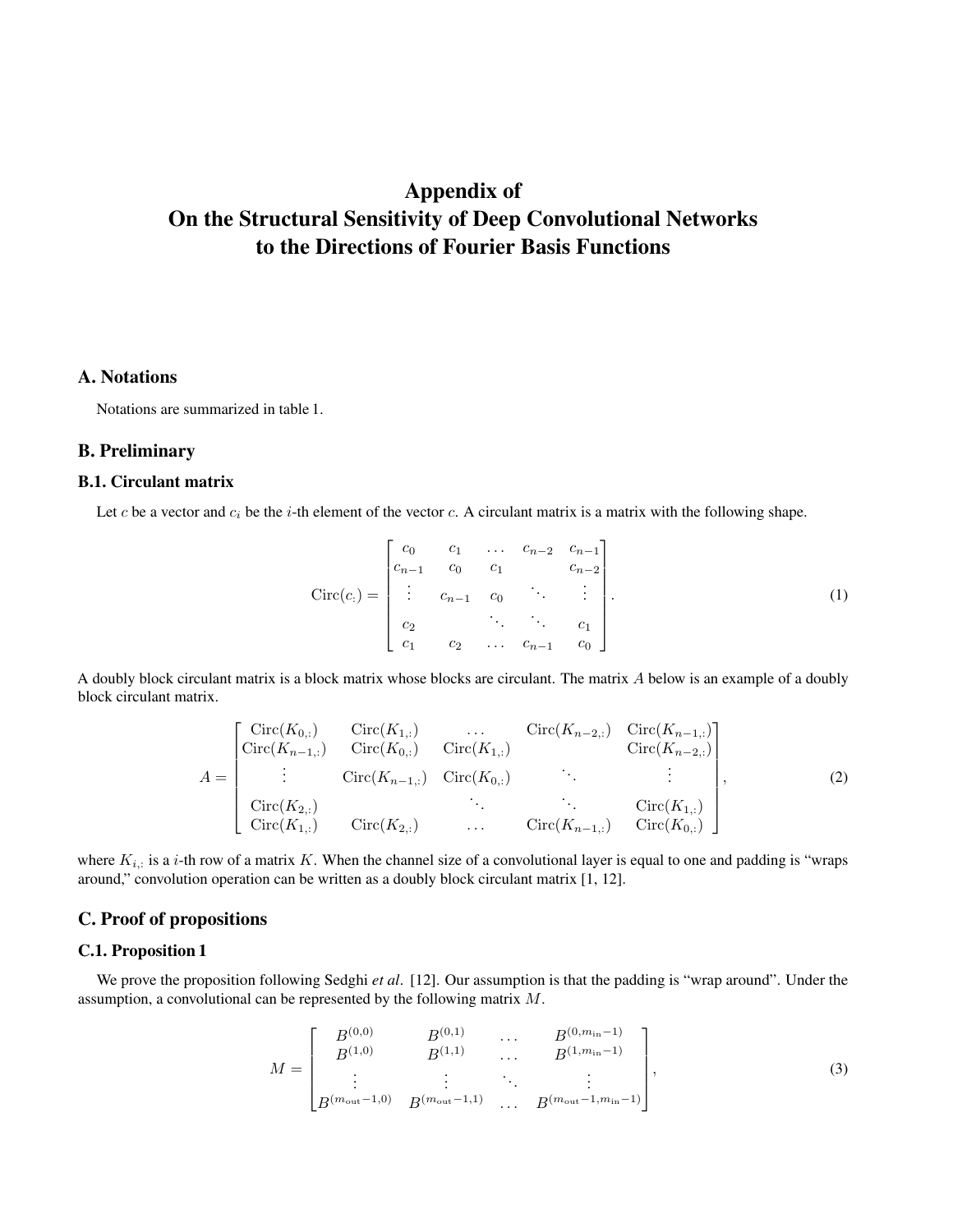# Appendix of On the Structural Sensitivity of Deep Convolutional Networks to the Directions of Fourier Basis Functions

# A. Notations

Notations are summarized in table 1.

#### B. Preliminary

#### B.1. Circulant matrix

Let c be a vector and  $c_i$  be the i-th element of the vector c. A circulant matrix is a matrix with the following shape.

$$
Circ(c_i) = \begin{bmatrix} c_0 & c_1 & \dots & c_{n-2} & c_{n-1} \\ c_{n-1} & c_0 & c_1 & c_{n-2} \\ \vdots & c_{n-1} & c_0 & \ddots & \vdots \\ c_2 & \ddots & \ddots & c_1 \\ c_1 & c_2 & \dots & c_{n-1} & c_0 \end{bmatrix} .
$$
 (1)

A doubly block circulant matrix is a block matrix whose blocks are circulant. The matrix A below is an example of a doubly block circulant matrix.

$$
A = \begin{bmatrix} \text{Circ}(K_{0,:}) & \text{Circ}(K_{1,:}) & \dots & \text{Circ}(K_{n-2,:}) & \text{Circ}(K_{n-1,:})\\ \text{Circ}(K_{n-1,:}) & \text{Circ}(K_{0,:}) & \text{Circ}(K_{1,:}) & \text{Circ}(K_{n-2,:})\\ \vdots & \text{Circ}(K_{n-1,:}) & \text{Circ}(K_{0,:}) & \ddots & \vdots\\ \text{Circ}(K_{2,:}) & \text{Circ}(K_{1,:}) & \text{Circ}(K_{2,:}) & \ddots & \text{Circ}(K_{n-1,:})\\ \end{bmatrix}, \tag{2}
$$

where  $K_{i,:}$  is a *i*-th row of a matrix K. When the channel size of a convolutional layer is equal to one and padding is "wraps" around," convolution operation can be written as a doubly block circulant matrix [1, 12].

## C. Proof of propositions

## C.1. Proposition 1

We prove the proposition following Sedghi *et al*. [12]. Our assumption is that the padding is "wrap around". Under the assumption, a convolutional can be represented by the following matrix M.

$$
M = \begin{bmatrix} B^{(0,0)} & B^{(0,1)} & \dots & B^{(0,m_{\rm in}-1)} \\ B^{(1,0)} & B^{(1,1)} & \dots & B^{(1,m_{\rm in}-1)} \\ \vdots & \vdots & \ddots & \vdots \\ B^{(m_{\rm out}-1,0)} & B^{(m_{\rm out}-1,1)} & \dots & B^{(m_{\rm out}-1,m_{\rm in}-1)} \end{bmatrix},\tag{3}
$$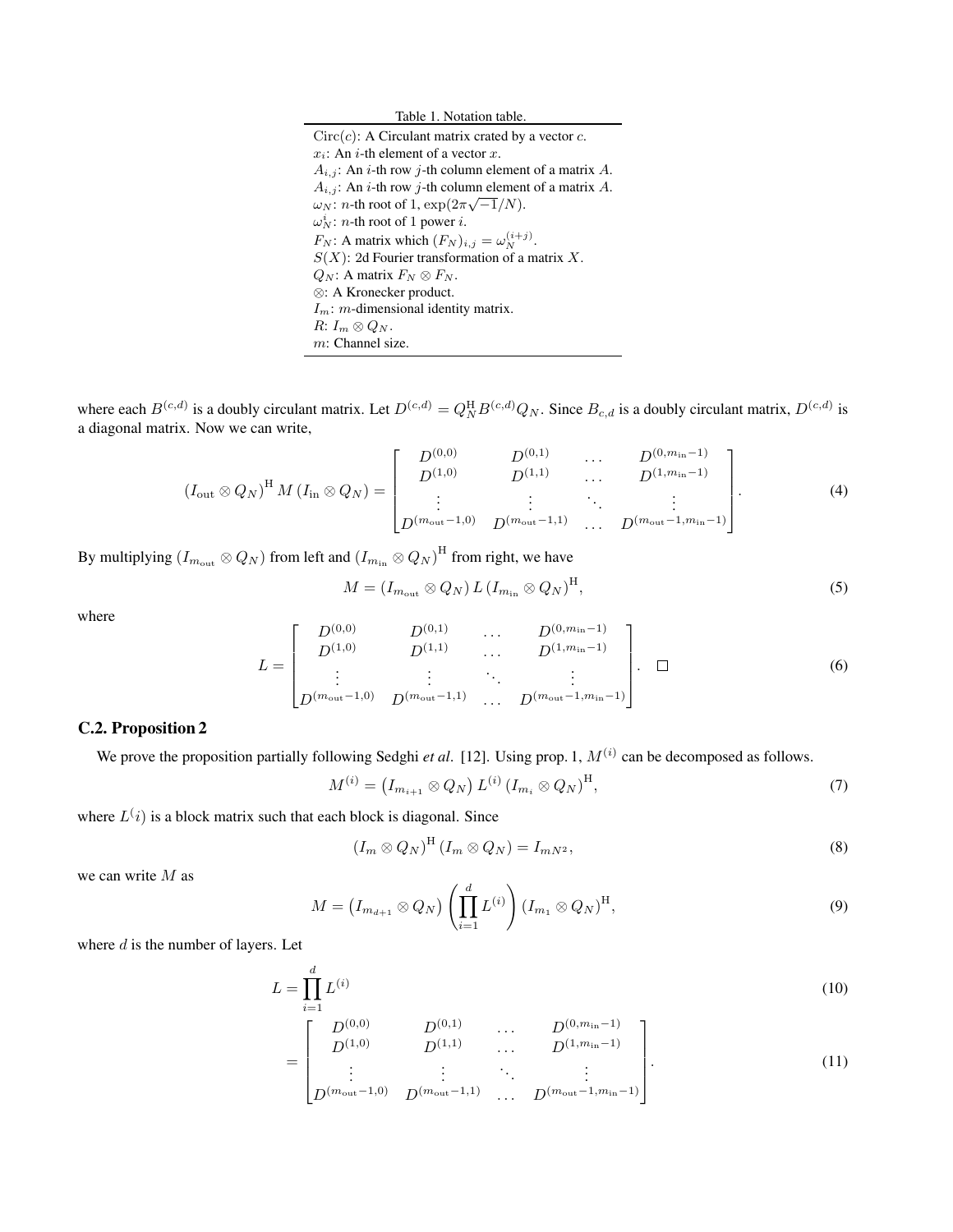| Table 1. Notation table.                                                   |
|----------------------------------------------------------------------------|
| $Circ(c)$ : A Circulant matrix crated by a vector c.                       |
| $x_i$ : An <i>i</i> -th element of a vector x.                             |
| $A_{i,j}$ : An <i>i</i> -th row <i>j</i> -th column element of a matrix A. |
| $A_{i,j}$ : An <i>i</i> -th row <i>j</i> -th column element of a matrix A. |
| $\omega_N$ : <i>n</i> -th root of 1, $\exp(2\pi\sqrt{-1/N})$ .             |
| $\omega_N^i$ : <i>n</i> -th root of 1 power <i>i</i> .                     |
| $F_N$ : A matrix which $(F_N)_{i,j} = \omega_N^{(i+j)}$ .                  |
| $S(X)$ : 2d Fourier transformation of a matrix X.                          |
| $Q_N$ : A matrix $F_N \otimes F_N$ .                                       |
| $\otimes$ : A Kronecker product.                                           |
| $I_m$ : <i>m</i> -dimensional identity matrix.                             |
| $R: I_m \otimes Q_N$ .                                                     |
| $m$ : Channel size.                                                        |
|                                                                            |

where each  $B^{(c,d)}$  is a doubly circulant matrix. Let  $D^{(c,d)} = Q_N^{\text{H}} B^{(c,d)} Q_N$ . Since  $B_{c,d}$  is a doubly circulant matrix,  $D^{(c,d)}$  is a diagonal matrix. Now we can write,

$$
(I_{\text{out}} \otimes Q_N)^{\text{H}} M (I_{\text{in}} \otimes Q_N) = \begin{bmatrix} D^{(0,0)} & D^{(0,1)} & \cdots & D^{(0,m_{\text{in}}-1)} \\ D^{(1,0)} & D^{(1,1)} & \cdots & D^{(1,m_{\text{in}}-1)} \\ \vdots & \vdots & \ddots & \vdots \\ D^{(m_{\text{out}}-1,0)} & D^{(m_{\text{out}}-1,1)} & \cdots & D^{(m_{\text{out}}-1,m_{\text{in}}-1)} \end{bmatrix}.
$$
 (4)

By multiplying  $(I_{m_{\rm out}}\otimes Q_N)$  from left and  $(I_{m_{\rm in}}\otimes Q_N)^{\rm H}$  from right, we have

$$
M = (I_{m_{\text{out}}} \otimes Q_N) L (I_{m_{\text{in}}} \otimes Q_N)^{\text{H}}, \tag{5}
$$

where

$$
L = \begin{bmatrix} D^{(0,0)} & D^{(0,1)} & \cdots & D^{(0,m_{\text{in}}-1)} \\ D^{(1,0)} & D^{(1,1)} & \cdots & D^{(1,m_{\text{in}}-1)} \\ \vdots & \vdots & \ddots & \vdots \\ D^{(m_{\text{out}}-1,0)} & D^{(m_{\text{out}}-1,1)} & \cdots & D^{(m_{\text{out}}-1,m_{\text{in}}-1)} \end{bmatrix}.
$$
 (6)

## C.2. Proposition 2

We prove the proposition partially following Sedghi *et al.* [12]. Using prop. 1,  $M^{(i)}$  can be decomposed as follows.

$$
M^{(i)} = (I_{m_{i+1}} \otimes Q_N) L^{(i)} (I_{m_i} \otimes Q_N)^{\mathrm{H}}, \tag{7}
$$

where  $L(i)$  is a block matrix such that each block is diagonal. Since

$$
(I_m \otimes Q_N)^{\mathrm{H}} (I_m \otimes Q_N) = I_{mN^2},\tag{8}
$$

we can write M as

$$
M = \left(I_{m_{d+1}} \otimes Q_N\right) \left(\prod_{i=1}^d L^{(i)}\right) \left(I_{m_1} \otimes Q_N\right)^{\mathrm{H}},\tag{9}
$$

where  $d$  is the number of layers. Let

$$
L = \prod_{i=1}^{d} L^{(i)} \tag{10}
$$

$$
= \begin{bmatrix} D^{(0,0)} & D^{(0,1)} & \cdots & D^{(0,m_{\text{in}}-1)} \\ D^{(1,0)} & D^{(1,1)} & \cdots & D^{(1,m_{\text{in}}-1)} \\ \vdots & \vdots & \ddots & \vdots \\ D^{(m_{\text{out}}-1,0)} & D^{(m_{\text{out}}-1,1)} & \cdots & D^{(m_{\text{out}}-1,m_{\text{in}}-1)} \end{bmatrix}.
$$
 (11)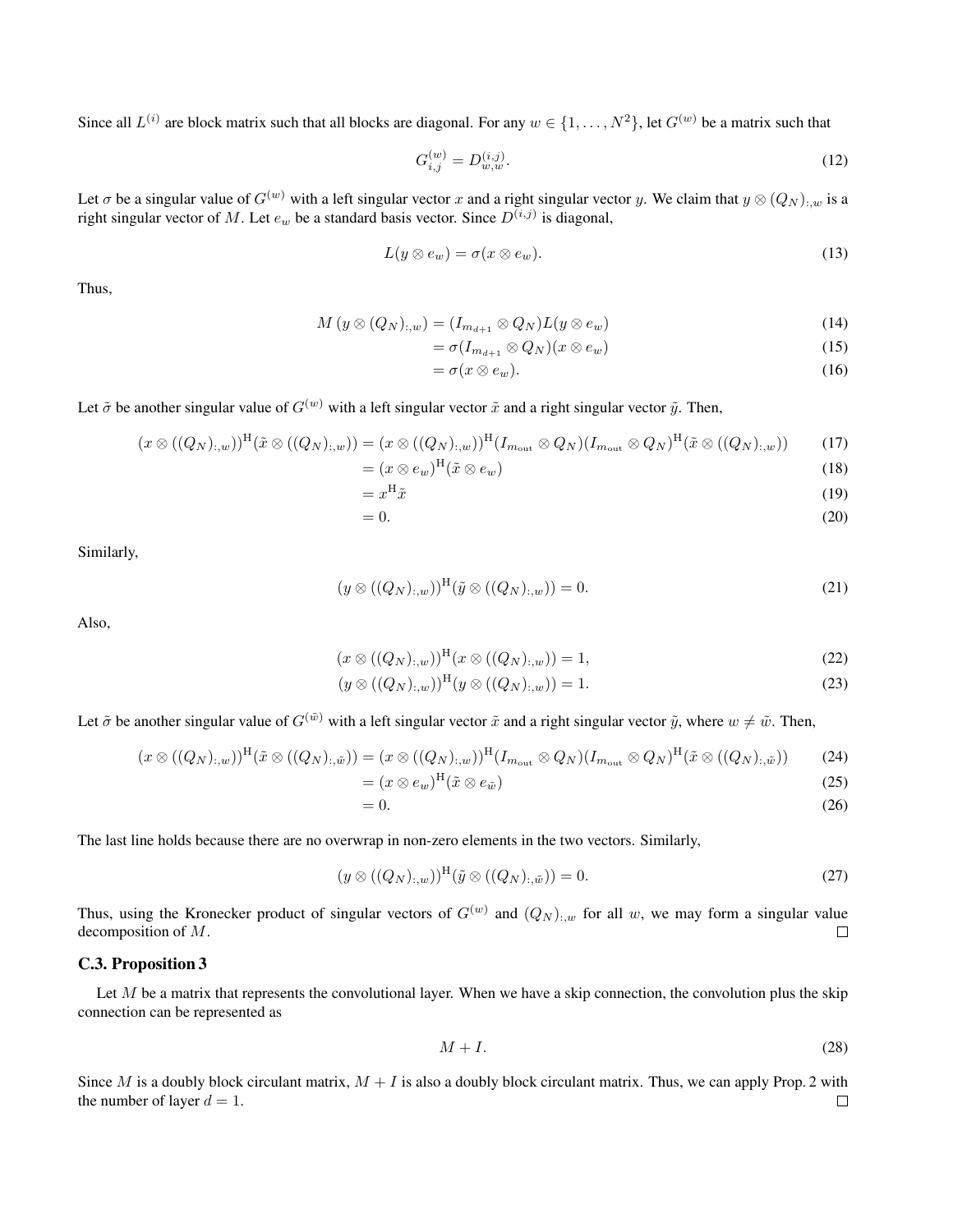Since all  $L^{(i)}$  are block matrix such that all blocks are diagonal. For any  $w \in \{1, \ldots, N^2\}$ , let  $G^{(w)}$  be a matrix such that

$$
G_{i,j}^{(w)} = D_{w,w}^{(i,j)}.\tag{12}
$$

Let  $\sigma$  be a singular value of  $G^{(w)}$  with a left singular vector x and a right singular vector y. We claim that  $y \otimes (Q_N)_{\cdot,w}$  is a right singular vector of M. Let  $e_w$  be a standard basis vector. Since  $D^{(i,j)}$  is diagonal,

$$
L(y \otimes e_w) = \sigma(x \otimes e_w). \tag{13}
$$

Thus,

$$
M(y \otimes (Q_N)_{:,w}) = (I_{m_{d+1}} \otimes Q_N)L(y \otimes e_w)
$$
\n<sup>(14)</sup>

$$
= \sigma(I_{m_{d+1}} \otimes Q_N)(x \otimes e_w) \tag{15}
$$

$$
= \sigma(x \otimes e_w). \tag{16}
$$

Let  $\tilde{\sigma}$  be another singular value of  $G^{(w)}$  with a left singular vector  $\tilde{x}$  and a right singular vector  $\tilde{y}$ . Then,

$$
(x \otimes ((Q_N)_{:,w}))^{\mathrm{H}}(\tilde{x} \otimes ((Q_N)_{:,w})) = (x \otimes ((Q_N)_{:,w}))^{\mathrm{H}} (I_{m_{\mathrm{out}}} \otimes Q_N)(I_{m_{\mathrm{out}}} \otimes Q_N)^{\mathrm{H}}(\tilde{x} \otimes ((Q_N)_{:,w})) \tag{17}
$$

$$
= (x \otimes e_w)^{\mathrm{H}} (\tilde{x} \otimes e_w) \tag{18}
$$

$$
=x^{\mathrm{H}}\tilde{x}\tag{19}
$$

$$
=0.\t(20)
$$

Similarly,

$$
(y \otimes ((Q_N)_{:,w}))^{\mathrm{H}} (\tilde{y} \otimes ((Q_N)_{:,w})) = 0. \tag{21}
$$

Also,

$$
(x \otimes ((Q_N)_{:,w}))^{\mathrm{H}}(x \otimes ((Q_N)_{:,w})) = 1,
$$
\n(22)

$$
(y \otimes ((Q_N)_{:,w}))^{\mathrm{H}}(y \otimes ((Q_N)_{:,w})) = 1.
$$
\n(23)

Let  $\tilde{\sigma}$  be another singular value of  $G^{(\tilde{w})}$  with a left singular vector  $\tilde{x}$  and a right singular vector  $\tilde{y}$ , where  $w \neq \tilde{w}$ . Then,

$$
(x \otimes ((Q_N)_{:,w}))^{\mathrm{H}}(\tilde{x} \otimes ((Q_N)_{:, \tilde{w}})) = (x \otimes ((Q_N)_{:,w}))^{\mathrm{H}}(I_{m_{\mathrm{out}}} \otimes Q_N)(I_{m_{\mathrm{out}}} \otimes Q_N)^{\mathrm{H}}(\tilde{x} \otimes ((Q_N)_{:, \tilde{w}}))
$$
(24)  

$$
= (x \otimes e_w)^{\mathrm{H}}(\tilde{x} \otimes e_{\tilde{w}})
$$
(25)

$$
=0.\t(26)
$$

The last line holds because there are no overwrap in non-zero elements in the two vectors. Similarly,

$$
(y \otimes ((Q_N)_{:,w}))^{\mathrm{H}}(\tilde{y} \otimes ((Q_N)_{:, \tilde{w}})) = 0. \tag{27}
$$

Thus, using the Kronecker product of singular vectors of  $G^{(w)}$  and  $(Q_N)_{:,w}$  for all w, we may form a singular value decomposition of M.  $\Box$ 

#### C.3. Proposition 3

Let  $M$  be a matrix that represents the convolutional layer. When we have a skip connection, the convolution plus the skip connection can be represented as

$$
M+I. \tag{28}
$$

Since M is a doubly block circulant matrix,  $M + I$  is also a doubly block circulant matrix. Thus, we can apply Prop. 2 with the number of layer  $d = 1$ .  $\Box$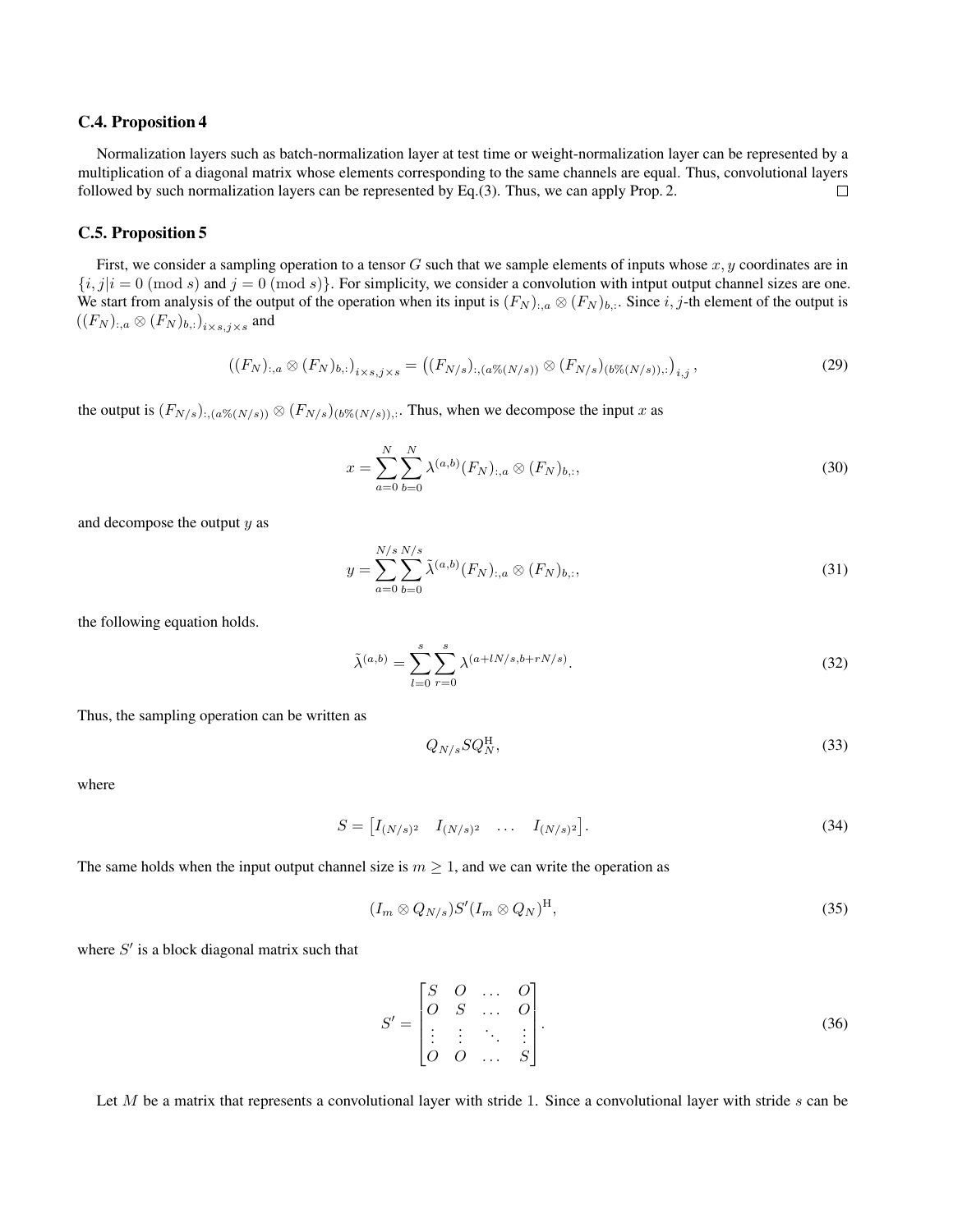#### C.4. Proposition 4

Normalization layers such as batch-normalization layer at test time or weight-normalization layer can be represented by a multiplication of a diagonal matrix whose elements corresponding to the same channels are equal. Thus, convolutional layers followed by such normalization layers can be represented by Eq.(3). Thus, we can apply Prop. 2.  $\Box$ 

#### C.5. Proposition 5

First, we consider a sampling operation to a tensor G such that we sample elements of inputs whose  $x, y$  coordinates are in  ${i,j \in [0 \text{ mod } s]}$  and  ${j = 0 \text{ (mod } s}$ . For simplicity, we consider a convolution with intput output channel sizes are one. We start from analysis of the output of the operation when its input is  $(F_N)_{:,\alpha} \otimes (F_N)_{b,\cdots}$  Since  $i, j$ -th element of the output is  $\left((F_N)_{:,a}\otimes (F_N)_{b,:}\right)_{i\times s,j\times s}$  and

$$
((F_N)_{:,a} \otimes (F_N)_{b,:})_{i \times s,j \times s} = ((F_{N/s})_{:,a} \otimes (\mathcal{N}(N/s))) \otimes (F_{N/s})_{(b} \otimes (\mathcal{N}(N/s))) : )_{i,j},
$$
\n(29)

the output is  $(F_{N/s})_{::(a\% (N/s))} \otimes (F_{N/s})_{(b\% (N/s)),:}$ . Thus, when we decompose the input x as

$$
x = \sum_{a=0}^{N} \sum_{b=0}^{N} \lambda^{(a,b)}(F_N)_{:,a} \otimes (F_N)_{b,:},
$$
\n(30)

and decompose the output  $y$  as

$$
y = \sum_{a=0}^{N/s} \sum_{b=0}^{N/s} \tilde{\lambda}^{(a,b)}(F_N)_{:,a} \otimes (F_N)_{b,:},
$$
\n(31)

the following equation holds.

$$
\tilde{\lambda}^{(a,b)} = \sum_{l=0}^{s} \sum_{r=0}^{s} \lambda^{(a+lN/s,b+rN/s)}.
$$
\n(32)

Thus, the sampling operation can be written as

$$
Q_{N/s}SQ_N^{\rm H},\tag{33}
$$

where

$$
S = \begin{bmatrix} I_{(N/s)^2} & I_{(N/s)^2} & \dots & I_{(N/s)^2} \end{bmatrix}.
$$
 (34)

The same holds when the input output channel size is  $m \geq 1$ , and we can write the operation as

$$
(I_m \otimes Q_{N/s})S'(I_m \otimes Q_N)^{\mathrm{H}},\tag{35}
$$

where  $S'$  is a block diagonal matrix such that

$$
S' = \begin{bmatrix} S & O & \dots & O \\ O & S & \dots & O \\ \vdots & \vdots & \ddots & \vdots \\ O & O & \dots & S \end{bmatrix} . \tag{36}
$$

Let  $M$  be a matrix that represents a convolutional layer with stride 1. Since a convolutional layer with stride  $s$  can be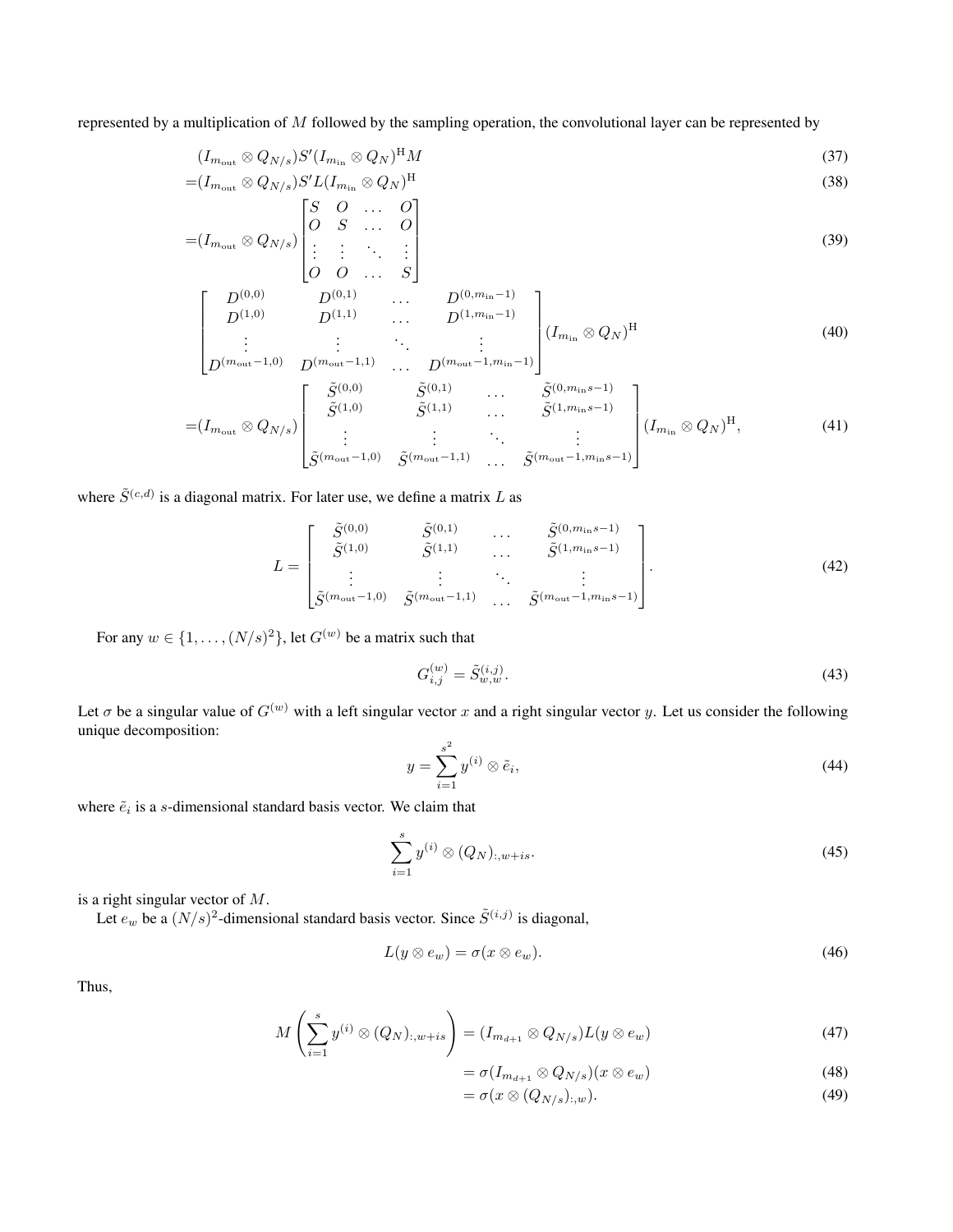represented by a multiplication of M followed by the sampling operation, the convolutional layer can be represented by

$$
(I_{m_{\text{out}}} \otimes Q_{N/s})S'(I_{m_{\text{in}}} \otimes Q_N)^{\text{H}}M
$$
\n(37)

$$
=(I_{m_{\text{out}}} \otimes Q_{N/s})S'L(I_{m_{\text{in}}} \otimes Q_N)^{\text{H}}
$$
\n
$$
\begin{bmatrix} C & O \\ O & O \end{bmatrix}
$$
\n
$$
(38)
$$

$$
=(I_{m_{\text{out}}} \otimes Q_{N/s})\begin{bmatrix} S & O & \dots & O \\ O & S & \dots & O \\ \vdots & \vdots & \ddots & \vdots \\ O & O & \dots & S \end{bmatrix} \tag{39}
$$

$$
\begin{bmatrix}\nD^{(0,0)} & D^{(0,1)} & \cdots & D^{(0,m_{\text{in}}-1)} \\
D^{(1,0)} & D^{(1,1)} & \cdots & D^{(1,m_{\text{in}}-1)} \\
\vdots & \vdots & \ddots & \vdots \\
D^{(m_{\text{out}}-1,0)} & D^{(m_{\text{out}}-1,1)} & \cdots & D^{(m_{\text{out}}-1,m_{\text{in}}-1)}\n\end{bmatrix}\n\begin{bmatrix}\nI_{m_{\text{in}}} \otimes Q_N\n\end{bmatrix}^{\text{H}}\n\tag{40}
$$

$$
= (I_{m_{\text{out}}} \otimes Q_{N/s}) \begin{bmatrix} \tilde{S}^{(0,0)} & \tilde{S}^{(0,1)} & \cdots & \tilde{S}^{(0,m_{\text{in}}-1)} \\ \tilde{S}^{(1,0)} & \tilde{S}^{(1,1)} & \cdots & \tilde{S}^{(1,m_{\text{in}}-1)} \\ \vdots & \vdots & \ddots & \vdots \\ \tilde{S}^{(m_{\text{out}}-1,0)} & \tilde{S}^{(m_{\text{out}}-1,1)} & \cdots & \tilde{S}^{(m_{\text{out}}-1,m_{\text{in}}-1)} \end{bmatrix} (I_{m_{\text{in}}} \otimes Q_N)^{\text{H}}, \tag{41}
$$

where  $\tilde{S}^{(c,d)}$  is a diagonal matrix. For later use, we define a matrix L as

$$
L = \begin{bmatrix} \tilde{S}^{(0,0)} & \tilde{S}^{(0,1)} & \cdots & \tilde{S}^{(0,m_{\text{in}}-1)} \\ \tilde{S}^{(1,0)} & \tilde{S}^{(1,1)} & \cdots & \tilde{S}^{(1,m_{\text{in}}-1)} \\ \vdots & \vdots & \ddots & \vdots \\ \tilde{S}^{(m_{\text{out}}-1,0)} & \tilde{S}^{(m_{\text{out}}-1,1)} & \cdots & \tilde{S}^{(m_{\text{out}}-1,m_{\text{in}}-1)} \end{bmatrix}.
$$
 (42)

For any  $w \in \{1, \ldots, (N/s)^2\}$ , let  $G^{(w)}$  be a matrix such that

$$
G_{i,j}^{(w)} = \tilde{S}_{w,w}^{(i,j)}.
$$
\n(43)

Let  $\sigma$  be a singular value of  $G^{(w)}$  with a left singular vector x and a right singular vector y. Let us consider the following unique decomposition:

$$
y = \sum_{i=1}^{s^2} y^{(i)} \otimes \tilde{e}_i,
$$
\n(44)

where  $\tilde{e}_i$  is a s-dimensional standard basis vector. We claim that

$$
\sum_{i=1}^{s} y^{(i)} \otimes (Q_N)_{:,w+is}.\tag{45}
$$

is a right singular vector of M.

Let  $e_w$  be a  $(N/s)^2$ -dimensional standard basis vector. Since  $\tilde{S}^{(i,j)}$  is diagonal,

$$
L(y \otimes e_w) = \sigma(x \otimes e_w). \tag{46}
$$

Thus,

$$
M\left(\sum_{i=1}^{s} y^{(i)} \otimes (Q_N)_{:,w+is}\right) = (I_{m_{d+1}} \otimes Q_{N/s})L(y \otimes e_w)
$$
\n(47)

$$
= \sigma(I_{m_{d+1}} \otimes Q_{N/s})(x \otimes e_w) \tag{48}
$$

$$
= \sigma(x \otimes (Q_{N/s})_{:,w}). \tag{49}
$$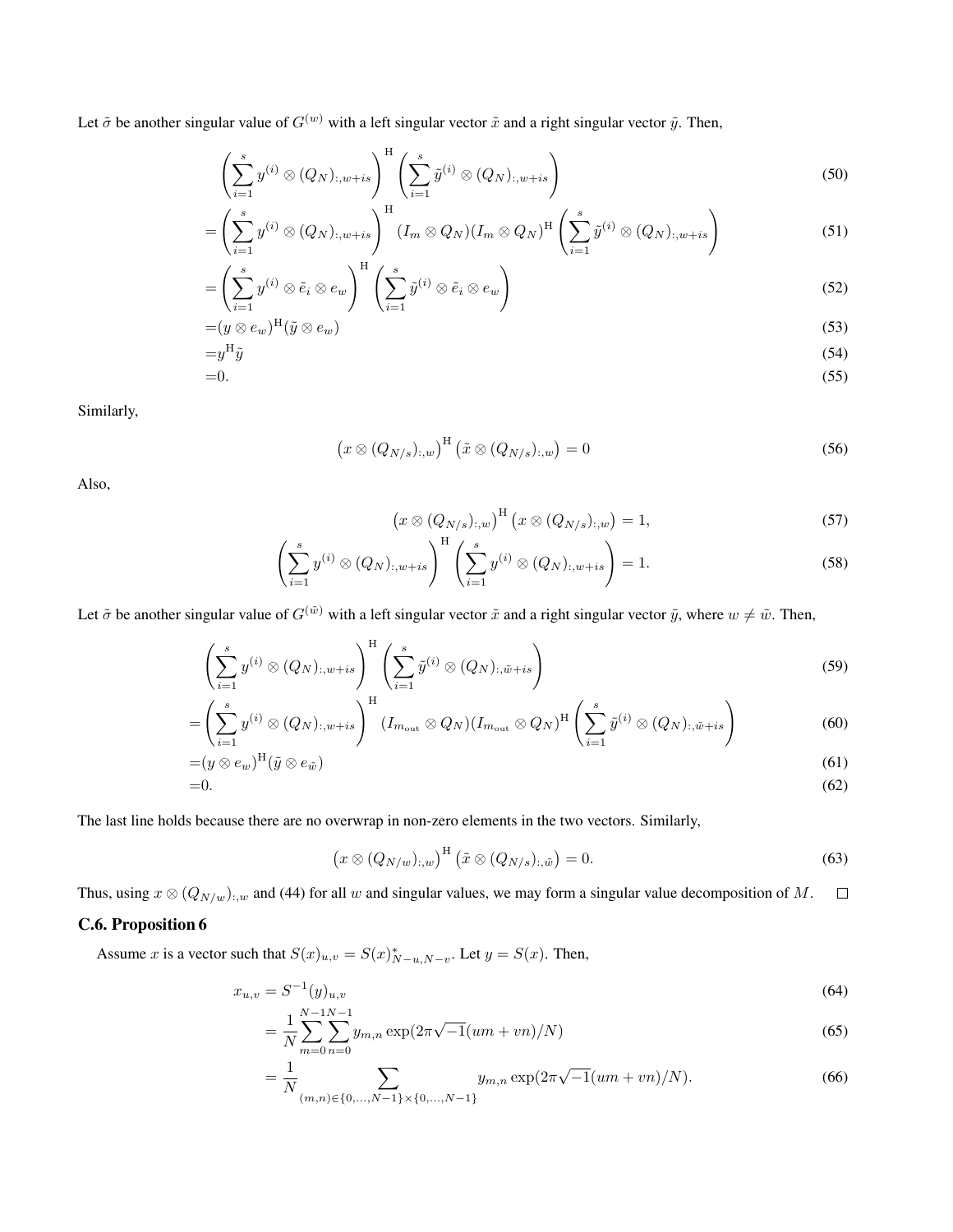Let  $\tilde{\sigma}$  be another singular value of  $G^{(w)}$  with a left singular vector  $\tilde{x}$  and a right singular vector  $\tilde{y}$ . Then,

$$
\left(\sum_{i=1}^{s} y^{(i)} \otimes (Q_N)_{:,w+is}\right)^{\mathrm{H}} \left(\sum_{i=1}^{s} \tilde{y}^{(i)} \otimes (Q_N)_{:,w+is}\right) \tag{50}
$$

$$
= \left(\sum_{i=1}^{s} y^{(i)} \otimes (Q_N)_{:,w+is}\right)^{\mathrm{H}} (I_m \otimes Q_N)(I_m \otimes Q_N)^{\mathrm{H}} \left(\sum_{i=1}^{s} \tilde{y}^{(i)} \otimes (Q_N)_{:,w+is}\right) \tag{51}
$$

$$
= \left(\sum_{i=1}^{s} y^{(i)} \otimes \tilde{e}_i \otimes e_w\right)^{\mathrm{H}} \left(\sum_{i=1}^{s} \tilde{y}^{(i)} \otimes \tilde{e}_i \otimes e_w\right) \tag{52}
$$

$$
=(y\otimes e_w)^{\mathrm{H}}(\tilde{y}\otimes e_w) \tag{53}
$$

$$
=y^H\tilde{y}
$$
\n<sup>(54)</sup>

$$
=0.\tag{55}
$$

Similarly,

$$
\left(x\otimes (Q_{N/s})_{:,w}\right)^{\mathrm{H}}\left(\tilde{x}\otimes (Q_{N/s})_{:,w}\right)=0\tag{56}
$$

Also,

$$
\left(x \otimes (Q_{N/s})_{:,w}\right)^{\mathrm{H}} \left(x \otimes (Q_{N/s})_{:,w}\right) = 1,\tag{57}
$$

$$
\left(\sum_{i=1}^{s} y^{(i)} \otimes (Q_N)_{:,w+is}\right)^{\mathrm{H}} \left(\sum_{i=1}^{s} y^{(i)} \otimes (Q_N)_{:,w+is}\right) = 1. \tag{58}
$$

Let  $\tilde{\sigma}$  be another singular value of  $G^{(\tilde{w})}$  with a left singular vector  $\tilde{x}$  and a right singular vector  $\tilde{y}$ , where  $w \neq \tilde{w}$ . Then,

$$
\left(\sum_{i=1}^{s} y^{(i)} \otimes (Q_N)_{:,w+is}\right)^{\mathrm{H}} \left(\sum_{i=1}^{s} \tilde{y}^{(i)} \otimes (Q_N)_{:, \tilde{w}+is}\right) \tag{59}
$$

$$
= \left(\sum_{i=1}^{s} y^{(i)} \otimes (Q_N)_{:,w+is}\right)^{\mathrm{H}} (I_{m_{\mathrm{out}}} \otimes Q_N)(I_{m_{\mathrm{out}}} \otimes Q_N)^{\mathrm{H}} \left(\sum_{i=1}^{s} \tilde{y}^{(i)} \otimes (Q_N)_{:, \tilde{w}+is}\right) \tag{60}
$$

$$
=(y\otimes e_w)^{\mathrm{H}}(\tilde{y}\otimes e_{\tilde{w}}) \tag{61}
$$

$$
=0.\tag{62}
$$

The last line holds because there are no overwrap in non-zero elements in the two vectors. Similarly,

$$
\left(x \otimes (Q_{N/w})_{:,w}\right)^{\mathrm{H}} \left(\tilde{x} \otimes (Q_{N/s})_{:, \tilde{w}}\right) = 0. \tag{63}
$$

Thus, using  $x \otimes (Q_{N/w})_{:,w}$  and (44) for all w and singular values, we may form a singular value decomposition of M.  $\Box$ 

## C.6. Proposition 6

Assume x is a vector such that  $S(x)_{u,v} = S(x)_{N-u,N-v}^*$ . Let  $y = S(x)$ . Then,

$$
x_{u,v} = S^{-1}(y)_{u,v}
$$
(64)

$$
= \frac{1}{N} \sum_{m=0}^{N-1} \sum_{n=0}^{N-1} y_{m,n} \exp(2\pi\sqrt{-1}(um + vn)/N)
$$
(65)

$$
= \frac{1}{N} \sum_{(m,n)\in\{0,\dots,N-1\}\times\{0,\dots,N-1\}} y_{m,n} \exp(2\pi\sqrt{-1}(um+vn)/N).
$$
 (66)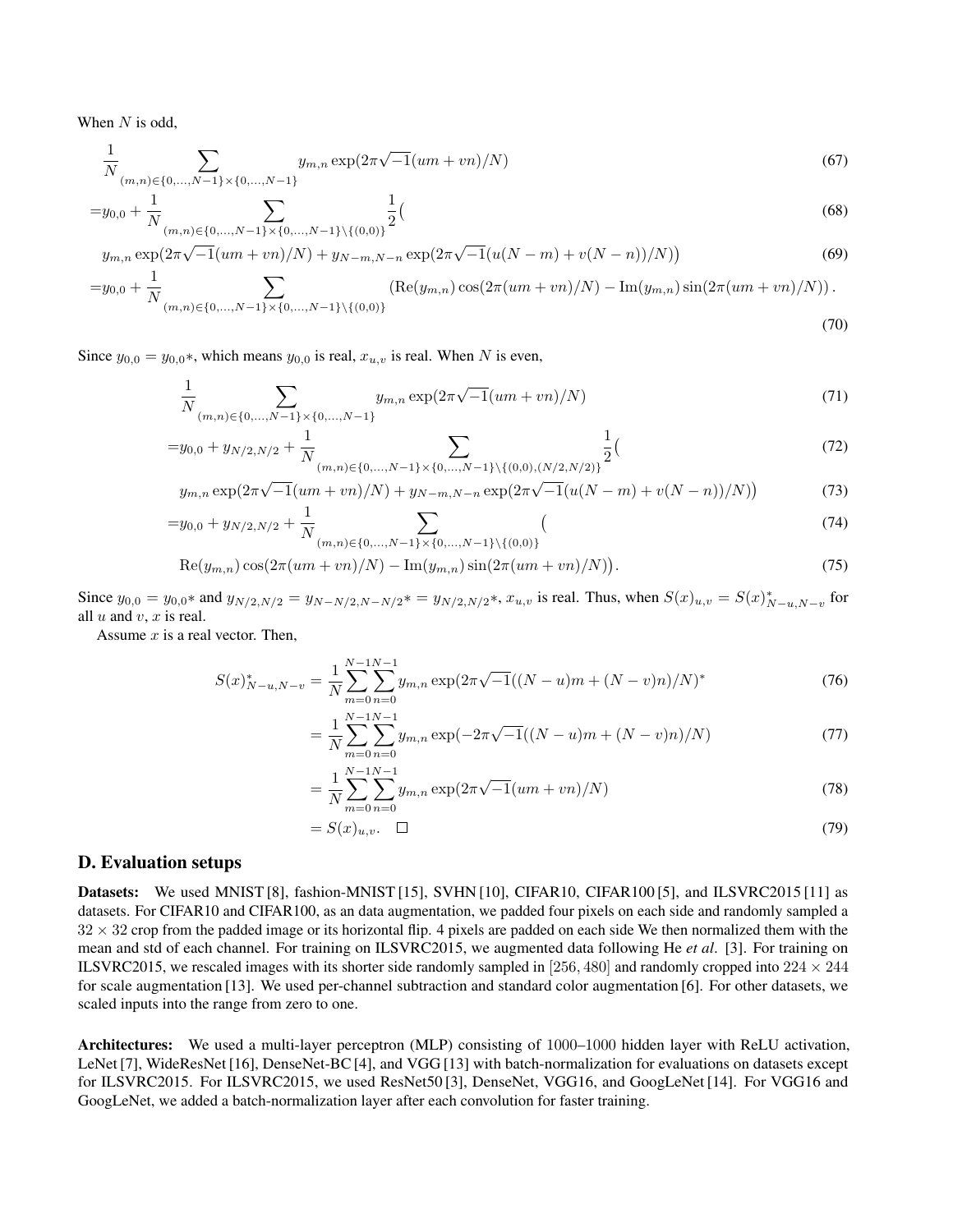When  $N$  is odd,

$$
\frac{1}{N} \sum_{(m,n)\in\{0,\dots,N-1\}\times\{0,\dots,N-1\}} y_{m,n} \exp(2\pi\sqrt{-1}(um+vn)/N)
$$
\n(67)

$$
=y_{0,0} + \frac{1}{N} \sum_{(m,n)\in\{0,\ldots,N-1\}\times\{0,\ldots,N-1\}\backslash\{(0,0)\}} \frac{1}{2} \tag{68}
$$

$$
y_{m,n} \exp(2\pi\sqrt{-1}(um + vn)/N) + y_{N-m,N-n} \exp(2\pi\sqrt{-1}(u(N-m) + v(N-n))/N))
$$
\n(69)

$$
=y_{0,0} + \frac{1}{N} \sum_{(m,n)\in\{0,\ldots,N-1\}\times\{0,\ldots,N-1\}\backslash\{(0,0)\}} (\text{Re}(y_{m,n})\cos(2\pi(um+vn)/N) - \text{Im}(y_{m,n})\sin(2\pi(um+vn)/N)).
$$
\n(70)

Since  $y_{0,0} = y_{0,0}$ \*, which means  $y_{0,0}$  is real,  $x_{u,v}$  is real. When N is even,

$$
\frac{1}{N} \sum_{(m,n)\in\{0,\dots,N-1\}\times\{0,\dots,N-1\}} y_{m,n} \exp(2\pi\sqrt{-1}(um+vn)/N)
$$
\n(71)

$$
=y_{0,0} + y_{N/2,N/2} + \frac{1}{N} \sum_{(m,n)\in\{0,\ldots,N-1\}\times\{0,\ldots,N-1\}\backslash\{(0,0),(N/2,N/2)\}} \frac{1}{2} \tag{72}
$$

$$
y_{m,n} \exp(2\pi\sqrt{-1}(um+vn)/N) + y_{N-m,N-n} \exp(2\pi\sqrt{-1}(u(N-m)+v(N-n))/N))
$$
\n(73)

$$
=y_{0,0} + y_{N/2,N/2} + \frac{1}{N} \sum_{(m,n)\in\{0,\dots,N-1\}\times\{0,\dots,N-1\}\backslash\{(0,0)\}} (74)
$$

$$
Re(y_{m,n})\cos(2\pi(um+vn)/N) - Im(y_{m,n})\sin(2\pi(um+vn)/N)).
$$
\n(75)

Since  $y_{0,0} = y_{0,0}$ \* and  $y_{N/2,N/2} = y_{N-N/2,N-N/2}$ \*  $=y_{N/2,N/2}$ \*,  $x_{u,v}$  is real. Thus, when  $S(x)_{u,v} = S(x)_{N-u,N-v}^*$  for all  $u$  and  $v$ ,  $x$  is real.

Assume  $x$  is a real vector. Then,

$$
S(x)_{N-u,N-v}^{*} = \frac{1}{N} \sum_{m=0}^{N-1} \sum_{n=0}^{N-1} y_{m,n} \exp(2\pi\sqrt{-1}((N-u)m + (N-v)n)/N)^{*}
$$
(76)

$$
= \frac{1}{N} \sum_{m=0}^{N-1} \sum_{n=0}^{N-1} y_{m,n} \exp(-2\pi\sqrt{-1}((N-u)m + (N-v)n)/N)
$$
(77)

$$
= \frac{1}{N} \sum_{m=0}^{N-1} \sum_{n=0}^{N-1} y_{m,n} \exp(2\pi\sqrt{-1}(um + vn)/N)
$$
(78)

$$
=S(x)_{u,v}.\quad \Box \tag{79}
$$

### D. Evaluation setups

Datasets: We used MNIST [8], fashion-MNIST [15], SVHN [10], CIFAR10, CIFAR100 [5], and ILSVRC2015 [11] as datasets. For CIFAR10 and CIFAR100, as an data augmentation, we padded four pixels on each side and randomly sampled a  $32 \times 32$  crop from the padded image or its horizontal flip. 4 pixels are padded on each side We then normalized them with the mean and std of each channel. For training on ILSVRC2015, we augmented data following He *et al*. [3]. For training on ILSVRC2015, we rescaled images with its shorter side randomly sampled in [256, 480] and randomly cropped into  $224 \times 244$ for scale augmentation [13]. We used per-channel subtraction and standard color augmentation [6]. For other datasets, we scaled inputs into the range from zero to one.

Architectures: We used a multi-layer perceptron (MLP) consisting of 1000–1000 hidden layer with ReLU activation, LeNet [7], WideResNet [16], DenseNet-BC [4], and VGG [13] with batch-normalization for evaluations on datasets except for ILSVRC2015. For ILSVRC2015, we used ResNet50 [3], DenseNet, VGG16, and GoogLeNet [14]. For VGG16 and GoogLeNet, we added a batch-normalization layer after each convolution for faster training.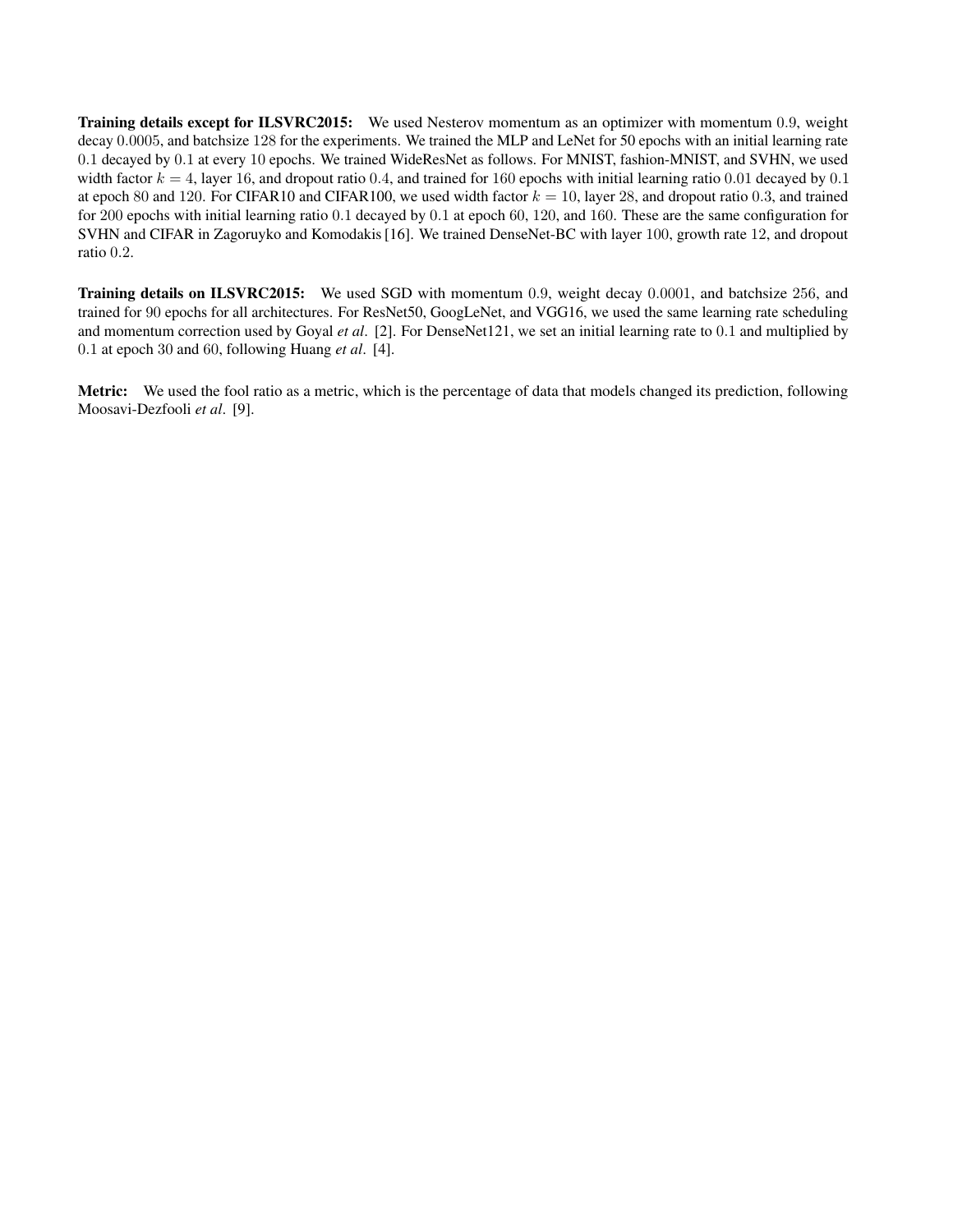Training details except for ILSVRC2015: We used Nesterov momentum as an optimizer with momentum 0.9, weight decay 0.0005, and batchsize 128 for the experiments. We trained the MLP and LeNet for 50 epochs with an initial learning rate 0.1 decayed by 0.1 at every 10 epochs. We trained WideResNet as follows. For MNIST, fashion-MNIST, and SVHN, we used width factor  $k = 4$ , layer 16, and dropout ratio 0.4, and trained for 160 epochs with initial learning ratio 0.01 decayed by 0.1 at epoch 80 and 120. For CIFAR10 and CIFAR100, we used width factor  $k = 10$ , layer 28, and dropout ratio 0.3, and trained for 200 epochs with initial learning ratio 0.1 decayed by 0.1 at epoch 60, 120, and 160. These are the same configuration for SVHN and CIFAR in Zagoruyko and Komodakis [16]. We trained DenseNet-BC with layer 100, growth rate 12, and dropout ratio 0.2.

Training details on ILSVRC2015: We used SGD with momentum 0.9, weight decay 0.0001, and batchsize 256, and trained for 90 epochs for all architectures. For ResNet50, GoogLeNet, and VGG16, we used the same learning rate scheduling and momentum correction used by Goyal *et al*. [2]. For DenseNet121, we set an initial learning rate to 0.1 and multiplied by 0.1 at epoch 30 and 60, following Huang *et al*. [4].

Metric: We used the fool ratio as a metric, which is the percentage of data that models changed its prediction, following Moosavi-Dezfooli *et al*. [9].